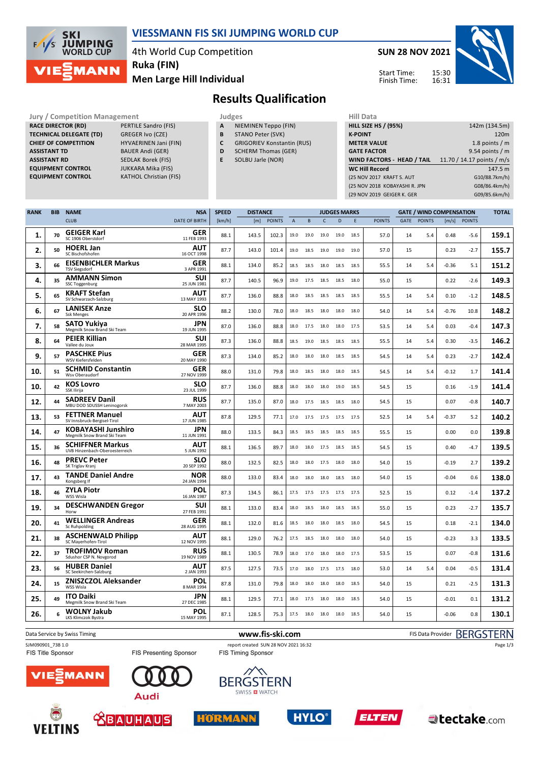

#### **VIESSMANN FIS SKI JUMPING WORLD CUP**

4th World Cup Competition

**Ruka (FIN)**

**Men Large Hill Individual**

## **SUN 28 NOV 2021**

Start Time:



**Results Qualification** Finish Time:

Jury / Competition Management<br> **RACE DIRECTOR (RD)**<br> **RACE DIRECTOR (RD)** PERTILE Sandro (FIS) **A** NIEMINEN Teppo (FIN) **HILL SIZE F RACE DIRECTOR (RD) TECHNICAL DELEGATE (TD)** GREGER Ivo (CZE) **CHIEF OF COMPETITION** HYVAERINEN Jani (FIN) **ASSISTANT TD** BAUER Andi (GER) **ASSISTANT RD** SEDLAK Borek (FIS)<br>**EQUIPMENT CONTROL** JUKKARA Mika (FIS) **EQUIPMENT CONTROL**<br>**EQUIPMENT CONTROL** 

**KATHOL Christian (FIS)** 

- **A** NIEMINEN Teppo (FIN)
- **B** STANO Peter (SVK)
- **C** GRIGORIEV Konstantin (RUS)
- **D** SCHERM Thomas (GER)
- **E** SOLBU Jarle (NOR)

| niil Data                         |                            |
|-----------------------------------|----------------------------|
| <b>HILL SIZE HS / (95%)</b>       | 142m (134.5m)              |
| <b>K-POINT</b>                    | 120 <sub>m</sub>           |
| <b>METER VALUE</b>                | 1.8 points $/m$            |
| <b>GATE FACTOR</b>                | $9.54$ points / m          |
| <b>WIND FACTORS - HEAD / TAIL</b> | 11.70 / 14.17 points / m/s |
| <b>WC Hill Record</b>             | 147.5 m                    |
| (25 NOV 2017 KRAFT S. AUT         | G10/88.7km/h)              |
| (25 NOV 2018 KOBAYASHI R. JPN     | G08/86.4km/h)              |
| (29 NOV 2019 GEIGER K. GER        | G09/85.6km/h)              |
|                                   |                            |

| <b>RANK</b> | <b>BIB</b> | <b>NAME</b>                                               | <b>NSA</b>                | <b>SPEED</b> | <b>DISTANCE</b> |               |                |      |                | <b>JUDGES MARKS</b> |      |               | <b>GATE / WIND COMPENSATION</b> |               |                     |               | <b>TOTAL</b> |
|-------------|------------|-----------------------------------------------------------|---------------------------|--------------|-----------------|---------------|----------------|------|----------------|---------------------|------|---------------|---------------------------------|---------------|---------------------|---------------|--------------|
|             |            | <b>CLUB</b>                                               | <b>DATE OF BIRTH</b>      | [km/h]       | [m]             | <b>POINTS</b> | $\overline{A}$ | B    | $\mathsf{C}$   | D                   | E    | <b>POINTS</b> | <b>GATE</b>                     | <b>POINTS</b> | $\lceil m/s \rceil$ | <b>POINTS</b> |              |
| 1.          | 70         | <b>GEIGER Karl</b><br>SC 1906 Oberstdorf                  | <b>GER</b><br>11 FEB 1993 | 88.1         | 143.5           | 102.3         | 19.0           | 19.0 | 19.0           | 19.0                | 18.5 | 57.0          | 14                              | 5.4           | 0.48                | $-5.6$        | 159.1        |
| 2.          | 50         | <b>HOERL Jan</b><br>SC Bischofshofen                      | AUT<br>16 OCT 1998        | 87.7         | 143.0           | 101.4         | 19.0           | 18.5 | 19.0           | 19.0                | 19.0 | 57.0          | 15                              |               | 0.23                | $-2.7$        | 155.7        |
| 3.          | 66         | <b>EISENBICHLER Markus</b><br><b>TSV Siegsdorf</b>        | <b>GER</b><br>3 APR 1991  | 88.1         | 134.0           | 85.2          | 18.5           | 18.5 | 18.0           | 18.5                | 18.5 | 55.5          | 14                              | 5.4           | $-0.36$             | 5.1           | 151.2        |
| 4.          | 35         | <b>AMMANN Simon</b><br><b>SSC Toggenburg</b>              | <b>SUI</b><br>25 JUN 1981 | 87.7         | 140.5           | 96.9          | 19.0           | 17.5 | 18.5           | 18.5                | 18.0 | 55.0          | 15                              |               | 0.22                | $-2.6$        | 149.3        |
| 5.          | 65         | <b>KRAFT Stefan</b><br>SV Schwarzach-Salzburg             | AUT<br>13 MAY 1993        | 87.7         | 136.0           | 88.8          | 18.0           | 18.5 | 18.5           | 18.5                | 18.5 | 55.5          | 14                              | 5.4           | 0.10                | $-1.2$        | 148.5        |
| 6.          | 67         | <b>LANISEK Anze</b><br><b>Ssk Menges</b>                  | <b>SLO</b><br>20 APR 1996 | 88.2         | 130.0           | 78.0          | 18.0           | 18.5 | 18.0           | 18.0                | 18.0 | 54.0          | 14                              | 5.4           | $-0.76$             | 10.8          | 148.2        |
| 7.          | 58         | SATO Yukiya<br>Megmilk Snow Brand Ski Team                | JPN<br>19 JUN 1995        | 87.0         | 136.0           | 88.8          | 18.0           | 17.5 | 18.0           | 18.0                | 17.5 | 53.5          | 14                              | 5.4           | 0.03                | $-0.4$        | 147.3        |
| 8.          | 64         | <b>PEIER Killian</b><br>Vallee du Joux                    | <b>SUI</b><br>28 MAR 1995 | 87.3         | 136.0           | 88.8          | 18.5           | 19.0 | 18.5           | 18.5                | 18.5 | 55.5          | 14                              | 5.4           | 0.30                | $-3.5$        | 146.2        |
| 9.          | 57         | <b>PASCHKE Pius</b><br>WSV Kiefersfelden                  | <b>GER</b><br>20 MAY 1990 | 87.3         | 134.0           | 85.2          | 18.0           | 18.0 | 18.0           | 18.5                | 18.5 | 54.5          | 14                              | 5.4           | 0.23                | $-2.7$        | 142.4        |
| 10.         | 51         | <b>SCHMID Constantin</b><br>Wsv Oberaudorf                | <b>GER</b><br>27 NOV 1999 | 88.0         | 131.0           | 79.8          | 18.0           | 18.5 | 18.0           | 18.0                | 18.5 | 54.5          | 14                              | 5.4           | $-0.12$             | 1.7           | 141.4        |
| 10.         | 42         | <b>KOS Lovro</b><br>SSK Ilirija                           | <b>SLO</b><br>23 JUL 1999 | 87.7         | 136.0           | 88.8          | 18.0           | 18.0 | 18.0           | 19.0                | 18.5 | 54.5          | 15                              |               | 0.16                | $-1.9$        | 141.4        |
| 12.         | 44         | <b>SADREEV Danil</b><br>MBU DOD SDUSSH Leninogorsk        | <b>RUS</b><br>7 MAY 2003  | 87.7         | 135.0           | 87.0          | 18.0           | 17.5 | 18.5           | 18.5                | 18.0 | 54.5          | 15                              |               | 0.07                | $-0.8$        | 140.7        |
| 13.         | 53         | <b>FETTNER Manuel</b><br>SV Innsbruck-Bergisel-Tirol      | <b>AUT</b><br>17 JUN 1985 | 87.8         | 129.5           | 77.1          | 17.0           |      | 17.5 17.5 17.5 |                     | 17.5 | 52.5          | 14                              | 5.4           | $-0.37$             | 5.2           | 140.2        |
| 14.         | 47         | <b>KOBAYASHI Junshiro</b><br>Megmilk Snow Brand Ski Team  | <b>JPN</b><br>11 JUN 1991 | 88.0         | 133.5           | 84.3          | 18.5           | 18.5 | 18.5 18.5      |                     | 18.5 | 55.5          | 15                              |               | 0.00                | 0.0           | 139.8        |
| 15.         | 36         | <b>SCHIFFNER Markus</b><br>UVB Hinzenbach-Oberoesterreich | <b>AUT</b><br>5 JUN 1992  | 88.1         | 136.5           | 89.7          | 18.0           | 18.0 | 17.5           | 18.5                | 18.5 | 54.5          | 15                              |               | 0.40                | $-4.7$        | 139.5        |
| 16.         | 48         | <b>PREVC Peter</b><br>SK Triglav Kranj                    | <b>SLO</b><br>20 SEP 1992 | 88.0         | 132.5           | 82.5          | 18.0           | 18.0 | 17.5           | 18.0                | 18.0 | 54.0          | 15                              |               | $-0.19$             | 2.7           | 139.2        |
| 17.         | 43         | <b>TANDE Daniel Andre</b><br>Kongsberg If                 | <b>NOR</b><br>24 JAN 1994 | 88.0         | 133.0           | 83.4          | 18.0           | 18.0 | 18.0           | 18.5                | 18.0 | 54.0          | 15                              |               | $-0.04$             | 0.6           | 138.0        |
| 18.         | 46         | <b>ZYLA Piotr</b><br>WSS Wisla                            | POL<br>16 JAN 1987        | 87.3         | 134.5           | 86.1          | 17.5           | 17.5 | 17.5           | 17.5                | 17.5 | 52.5          | 15                              |               | 0.12                | $-1.4$        | 137.2        |
| 19.         | 34         | <b>DESCHWANDEN Gregor</b><br>Horw                         | <b>SUI</b><br>27 FEB 1991 | 88.1         | 133.0           | 83.4          | 18.0           | 18.5 | 18.0           | 18.5                | 18.5 | 55.0          | 15                              |               | 0.23                | $-2.7$        | 135.7        |
| 20.         | 41         | <b>WELLINGER Andreas</b><br>Sc Ruhpolding                 | <b>GER</b><br>28 AUG 1995 | 88.1         | 132.0           | 81.6          | 18.5           | 18.0 | 18.0           | 18.5                | 18.0 | 54.5          | 15                              |               | 0.18                | $-2.1$        | 134.0        |
| 21.         | 38         | <b>ASCHENWALD Philipp</b><br>SC Maverhofen-Tirol          | AUT<br>12 NOV 1995        | 88.1         | 129.0           | 76.2          | 17.5           | 18.5 | 18.0           | 18.0                | 18.0 | 54.0          | 15                              |               | $-0.23$             | 3.3           | 133.5        |
| 22.         | 37         | <b>TROFIMOV Roman</b><br>Sdushor CSP N. Novgorod          | <b>RUS</b><br>19 NOV 1989 | 88.1         | 130.5           | 78.9          | 18.0           | 17.0 | 18.0           | 18.0                | 17.5 | 53.5          | 15                              |               | 0.07                | $-0.8$        | 131.6        |
| 23.         | 56         | <b>HUBER Daniel</b><br>SC Seekirchen-Salzburg             | AUT<br>2 JAN 1993         | 87.5         | 127.5           | 73.5          | 17.0           | 18.0 | 17.5           | 17.5                | 18.0 | 53.0          | 14                              | 5.4           | 0.04                | -0.5          | 131.4        |
| 24.         | 15         | <b>ZNISZCZOL Aleksander</b><br>WSS Wisla                  | POL<br>8 MAR 1994         | 87.8         | 131.0           | 79.8          | 18.0           | 18.0 | 18.0           | 18.0                | 18.5 | 54.0          | 15                              |               | 0.21                | $-2.5$        | 131.3        |
| 25.         | 49         | <b>ITO Daiki</b><br>Megmilk Snow Brand Ski Team           | <b>JPN</b><br>27 DEC 1985 | 88.1         | 129.5           | 77.1          | 18.0           | 17.5 | 18.0           | 18.0                | 18.5 | 54.0          | 15                              |               | $-0.01$             | 0.1           | 131.2        |
| 26.         | 6          | <b>WOLNY Jakub</b><br>LKS Klimczok Bystra                 | POL<br>15 MAY 1995        | 87.1         | 128.5           | 75.3          | 17.5           |      | 18.0 18.0 18.0 |                     | 18.5 | 54.0          | 15                              |               | $-0.06$             | 0.8           | 130.1        |

Data Service by Swiss Timing **WWW.fis-ski.com www.fis-ski.com** FIS Data Provider BERGSTERN SJM090901\_73B 1.0 report created SUN 28 NOV 2021 16:32 Page 1/3FIS Title Sponsor FIS Presenting Sponsor FIS Timing Sponsor **MANN BERGSTERN** 

SWISS **D** WATCH







**Audi** 





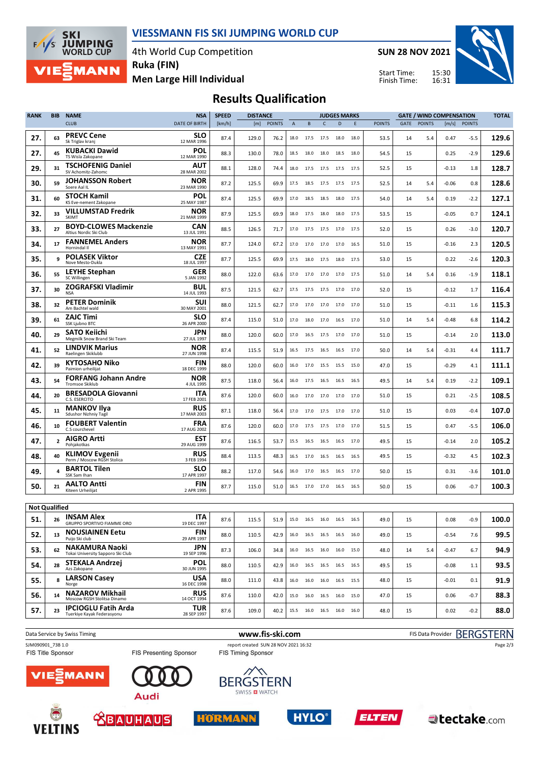

4th World Cup Competition

**SKI JUMPING**<br>WORLD CUP  $F/1/S$ **MANN** 

**Men Large Hill Individual Ruka (FIN)**

**SUN 28 NOV 2021**

Start Time: Finish Time:



## **Results Qualification**

| <b>RANK</b>          | <b>BIB</b>     | <b>NAME</b>                                              | <b>NSA</b>                | <b>SPEED</b> | <b>DISTANCE</b> |               |                | <b>JUDGES MARKS</b> |           |                              |      | <b>GATE / WIND COMPENSATION</b> |      |               |         |               | <b>TOTAL</b> |
|----------------------|----------------|----------------------------------------------------------|---------------------------|--------------|-----------------|---------------|----------------|---------------------|-----------|------------------------------|------|---------------------------------|------|---------------|---------|---------------|--------------|
|                      |                | <b>CLUB</b>                                              | <b>DATE OF BIRTH</b>      | [km/h]       | [m]             | <b>POINTS</b> | $\overline{A}$ | B                   | C         | D                            | E    | <b>POINTS</b>                   | GATE | <b>POINTS</b> | [m/s]   | <b>POINTS</b> |              |
| 27.                  | 63             | <b>PREVC Cene</b><br>Sk Triglav kranj                    | SLO<br>12 MAR 1996        | 87.4         | 129.0           | 76.2          | 18.0           | 17.5                | 17.5      | 18.0                         | 18.0 | 53.5                            | 14   | 5.4           | 0.47    | $-5.5$        | 129.6        |
| 27.                  | 45             | <b>KUBACKI Dawid</b><br>TS Wisla Zakopane                | POL<br>12 MAR 1990        | 88.3         | 130.0           | 78.0          | 18.5           | 18.0                | 18.0      | 18.5                         | 18.0 | 54.5                            | 15   |               | 0.25    | $-2.9$        | 129.6        |
| 29.                  | 31             | <b>TSCHOFENIG Daniel</b><br>SV Achomitz-Zahomc           | AUT<br>28 MAR 2002        | 88.1         | 128.0           | 74.4          | 18.0           | 17.5                | 17.5      | 17.5                         | 17.5 | 52.5                            | 15   |               | $-0.13$ | 1.8           | 128.7        |
| 30.                  | 59             | <b>JOHANSSON Robert</b><br>Soere Aal IL                  | NOR<br>23 MAR 1990        | 87.2         | 125.5           | 69.9          | 17.5           | 18.5                | 17.5      | 17.5                         | 17.5 | 52.5                            | 14   | 5.4           | $-0.06$ | 0.8           | 128.6        |
| 31.                  | 60             | <b>STOCH Kamil</b><br>KS Eve-nement Zakopane             | <b>POL</b><br>25 MAY 1987 | 87.4         | 125.5           | 69.9          | 17.0           | 18.5                | 18.5      | 18.0                         | 17.5 | 54.0                            | 14   | 5.4           | 0.19    | -2.2          | 127.1        |
| 32.                  | 33             | <b>VILLUMSTAD Fredrik</b><br><b>SKIMT</b>                | <b>NOR</b><br>21 MAR 1999 | 87.9         | 125.5           | 69.9          | 18.0           | 17.5                | 18.0      | 18.0                         | 17.5 | 53.5                            | 15   |               | $-0.05$ | 0.7           | 124.1        |
| 33.                  | 27             | <b>BOYD-CLOWES Mackenzie</b><br>Altius Nordic Ski Club   | CAN<br>13 JUL 1991        | 88.5         | 126.5           | 71.7          | 17.0           | 17.5                | 17.5      | 17.0                         | 17.5 | 52.0                            | 15   |               | 0.26    | -3.0          | 120.7        |
| 34.                  | 17             | <b>FANNEMEL Anders</b><br>Hornindal II                   | <b>NOR</b><br>13 MAY 1991 | 87.7         | 124.0           | 67.2          | 17.0           |                     | 17.0 17.0 | 17.0                         | 16.5 | 51.0                            | 15   |               | $-0.16$ | 2.3           | 120.5        |
| 35.                  | 9              | <b>POLASEK Viktor</b><br>Nove Mesto-Dukla                | CZE<br>18 JUL 1997        | 87.7         | 125.5           | 69.9          | 17.5           | 18.0                | 17.5      | 18.0                         | 17.5 | 53.0                            | 15   |               | 0.22    | -2.6          | 120.3        |
| 36.                  | 55             | LEYHE Stephan<br>SC Willingen                            | <b>GER</b><br>5 JAN 1992  | 88.0         | 122.0           | 63.6          | 17.0           | 17.0                | 17.0      | 17.0                         | 17.5 | 51.0                            | 14   | 5.4           | 0.16    | $-1.9$        | 118.1        |
| 37.                  | 30             | ZOGRAFSKI Vladimir<br><b>NSA</b>                         | <b>BUL</b><br>14 JUL 1993 | 87.5         | 121.5           | 62.7          | 17.5           |                     |           | 17.5 17.5 17.0 17.0          |      | 52.0                            | 15   |               | $-0.12$ | 1.7           | 116.4        |
| 38.                  | 32             | <b>PETER Dominik</b><br>Am Bachtel wald                  | <b>SUI</b><br>30 MAY 2001 | 88.0         | 121.5           | 62.7          | 17.0           | 17.0                | 17.0      | 17.0                         | 17.0 | 51.0                            | 15   |               | $-0.11$ | 1.6           | 115.3        |
| 39.                  | 61             | <b>ZAJC Timi</b><br>SSK Ljubno BTC                       | <b>SLO</b><br>26 APR 2000 | 87.4         | 115.0           | 51.0          | 17.0           |                     | 18.0 17.0 | 16.5                         | 17.0 | 51.0                            | 14   | 5.4           | $-0.48$ | 6.8           | 114.2        |
| 40.                  | 29             | SATO Keiichi<br>Megmilk Snow Brand Ski Team              | JPN<br>27 JUL 1997        | 88.0         | 120.0           | 60.0          | 17.0           | 16.5                | 17.5      | 17.0                         | 17.0 | 51.0                            | 15   |               | $-0.14$ | 2.0           | 113.0        |
| 41.                  | 52             | <b>LINDVIK Marius</b><br>Raelingen Skiklubb              | <b>NOR</b><br>27 JUN 1998 | 87.4         | 115.5           | 51.9          | 16.5           |                     |           | 17.5 16.5 16.5 17.0          |      | 50.0                            | 14   | 5.4           | $-0.31$ | 4.4           | 111.7        |
| 42.                  | 39             | <b>KYTOSAHO Niko</b><br>Paimion urheilijat               | <b>FIN</b><br>18 DEC 1999 | 88.0         | 120.0           | 60.0          | 16.0           | 17.0                |           | 15.5 15.5 15.0               |      | 47.0                            | 15   |               | $-0.29$ | 4.1           | 111.1        |
| 43.                  | 54             | <b>FORFANG Johann Andre</b><br><b>Tromsoe Skiklub</b>    | <b>NOR</b><br>4 JUL 1995  | 87.5         | 118.0           | 56.4          | 16.0           | 17.5                | 16.5      | 16.5                         | 16.5 | 49.5                            | 14   | 5.4           | 0.19    | -2.2          | 109.1        |
| 44.                  | 20             | <b>BRESADOLA Giovanni</b><br>C.S. ESERCITO               | ITA<br>17 FEB 2001        | 87.6         | 120.0           | 60.0          | 16.0           | 17.0                | 17.0      | 17.0                         | 17.0 | 51.0                            | 15   |               | 0.21    | -2.5          | 108.5        |
| 45.                  | 11             | <b>MANKOV Ilya</b><br>Sdushor Nizhniy Tagil              | <b>RUS</b><br>17 MAR 2003 | 87.1         | 118.0           | 56.4          | 17.0           | 17.0                | 17.5      | 17.0                         | 17.0 | 51.0                            | 15   |               | 0.03    | -0.4          | 107.0        |
| 46.                  | 10             | <b>FOUBERT Valentin</b><br>C.S courchevel                | <b>FRA</b><br>17 AUG 2002 | 87.6         | 120.0           | 60.0          | 17.0           | 17.5 17.5           |           | 17.0 17.0                    |      | 51.5                            | 15   |               | 0.47    | -5.5          | 106.0        |
| 47.                  | $\overline{2}$ | <b>AIGRO Artti</b><br>Pohjakotkas                        | <b>EST</b><br>29 AUG 1999 | 87.6         | 116.5           | 53.7          | 15.5           | 16.5                | 16.5      | 16.5                         | 17.0 | 49.5                            | 15   |               | $-0.14$ | 2.0           | 105.2        |
| 48.                  | 40             | <b>KLIMOV Evgenii</b><br>Perm / Moscow RGSH Stolica      | <b>RUS</b><br>3 FEB 1994  | 88.4         | 113.5           | 48.3          | 16.5           | 17.0                | 16.5      | 16.5                         | 16.5 | 49.5                            | 15   |               | $-0.32$ | 4.5           | 102.3        |
| 49.                  | 4              | <b>BARTOL Tilen</b><br>SSK Sam Ihan                      | <b>SLO</b><br>17 APR 1997 | 88.2         | 117.0           | 54.6          | 16.0           | 17.0                | 16.5      | 16.5                         | 17.0 | 50.0                            | 15   |               | 0.31    | $-3.6$        | 101.0        |
| 50.                  | 21             | <b>AALTO Antti</b><br>Kiteen Urheilijat                  | <b>FIN</b><br>2 APR 1995  | 87.7         | 115.0           | 51.0          | 16.5           | 17.0                | 17.0      | 16.5                         | 16.5 | 50.0                            | 15   |               | 0.06    | -0.7          | 100.3        |
| <b>Not Qualified</b> |                |                                                          |                           |              |                 |               |                |                     |           |                              |      |                                 |      |               |         |               |              |
| 51.                  | 26             | <b>INSAM AIEX</b><br>GRUPPO SPORTIVO FIAMME ORO          | <b>ITA</b><br>19 DEC 1997 | 87.6         | 115.5           | 51.9          |                |                     |           | 15.0  16.5  16.0  16.5  16.5 |      | 49.0                            | 15   |               | 0.08    | $-0.9$        | 100.0        |
| 52.                  | 13             | <b>NOUSIAINEN Eetu</b><br>Puijo Ski club                 | <b>FIN</b><br>29 APR 1997 | 88.0         | 110.5           | 42.9          |                |                     |           | 16.0 16.5 16.5 16.5 16.0     |      | 49.0                            | 15   |               | $-0.54$ | 7.6           | 99.5         |
| 53.                  | 62             | NAKAMURA Naoki<br>Tokai University Sapporo Ski Club      | <b>JPN</b><br>19 SEP 1996 | 87.3         | 106.0           | 34.8          |                |                     |           | 16.0  16.5  16.0  16.0  15.0 |      | 48.0                            | 14   | 5.4           | $-0.47$ | 6.7           | 94.9         |
| 54.                  | 28             | <b>STEKALA Andrzej</b><br>Azs Zakopane                   | <b>POL</b><br>30 JUN 1995 | 88.0         | 110.5           | 42.9          |                |                     |           | 16.0 16.5 16.5 16.5 16.5     |      | 49.5                            | 15   |               | $-0.08$ | 1.1           | 93.5         |
| 55.                  | 8              | <b>LARSON Casey</b><br>Norge                             | USA<br>16 DEC 1998        | 88.0         | 111.0           | 43.8          |                |                     |           | 16.0 16.0 16.0 16.5 15.5     |      | 48.0                            | 15   |               | $-0.01$ | 0.1           | 91.9         |
| 56.                  | 14             | <b>NAZAROV Mikhail</b><br>Moscow RGSH Stolitsa Dinamo    | <b>RUS</b><br>14 OCT 1994 | 87.6         | 110.0           | 42.0          |                |                     |           | 15.0  16.0  16.5  16.0  15.0 |      | 47.0                            | 15   |               | 0.06    | -0.7          | 88.3         |
| 57.                  | 23             | <b>IPCIOGLU Fatih Arda</b><br>Tuerkiye Kayak Federasyonu | TUR<br>28 SEP 1997        | 87.6         | 109.0           | 40.2          |                |                     |           | 15.5 16.0 16.5 16.0 16.0     |      | 48.0                            | 15   |               | 0.02    | $-0.2$        | 88.0         |
|                      |                |                                                          |                           |              |                 |               |                |                     |           |                              |      |                                 |      |               |         |               |              |

Data Service by Swiss Timing **WWW.fis-ski.com www.fis-ski.com** FIS Data Provider BERGSTERN SJM090901\_73B 1.0 report created SUN 28 NOV 2021 16:32<br>
FIS Timing Sponsor FIS Timing Sponsor FIS Timing Sponsor Page 2/3FIS Presenting Sponsor ᄿ **MANN BERGSTERN** SWISS **D** WATCH **Audi** 











 $\blacktriangle$ tectake.com